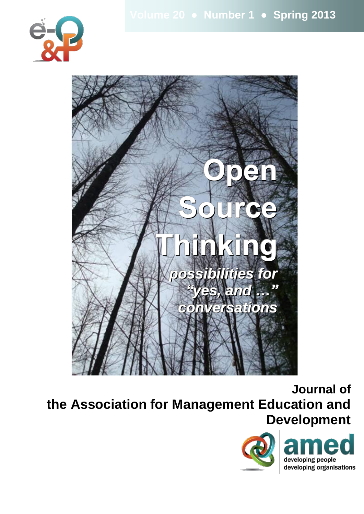



**Journal of the Association for Management Education and Development**

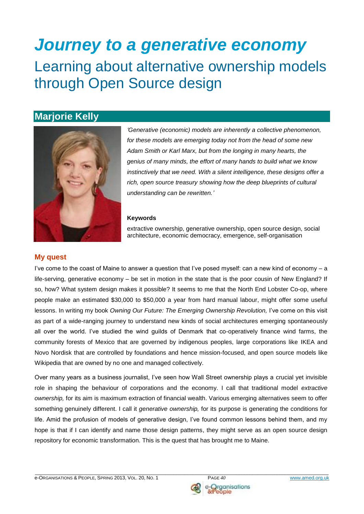# *Journey to a generative economy* Learning about alternative ownership models through Open Source design

# **Marjorie Kelly**



*'Generative (economic) models are inherently a collective phenomenon, for these models are emerging today not from the head of some new Adam Smith or Karl Marx, but from the longing in many hearts, the genius of many minds, the effort of many hands to build what we know instinctively that we need. With a silent intelligence, these designs offer a rich, open source treasury showing how the deep blueprints of cultural understanding can be rewritten.'*

#### **Keywords**

extractive ownership, generative ownership, open source design, social architecture, economic democracy, emergence, self-organisation

#### **My quest**

I've come to the coast of Maine to answer a question that I've posed myself: can a new kind of economy – a life-serving, generative economy – be set in motion in the state that is the poor cousin of New England? If so, how? What system design makes it possible? It seems to me that the North End Lobster Co-op, where people make an estimated \$30,000 to \$50,000 a year from hard manual labour, might offer some useful lessons. In writing my book Owning Our Future: The Emerging Ownership Revolution, I've come on this visit as part of a wide-ranging journey to understand new kinds of social architectures emerging spontaneously all over the world. I've studied the wind guilds of Denmark that co-operatively finance wind farms, the community forests of Mexico that are governed by indigenous peoples, large corporations like IKEA and Novo Nordisk that are controlled by foundations and hence mission-focused, and open source models like Wikipedia that are owned by no one and managed collectively.

Over many years as a business journalist, I've seen how Wall Street ownership plays a crucial yet invisible role in shaping the behaviour of corporations and the economy. I call that traditional model *extractive ownership,* for its aim is maximum extraction of financial wealth. Various emerging alternatives seem to offer something genuinely different. I call it *generative ownership,* for its purpose is generating the conditions for life. Amid the profusion of models of generative design, I've found common lessons behind them, and my hope is that if I can identify and name those design patterns, they might serve as an open source design repository for economic transformation. This is the quest that has brought me to Maine.

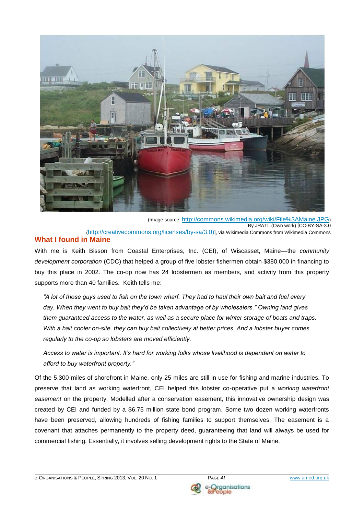

(Image source: <http://commons.wikimedia.org/wiki/File%3AMaine.JPG>) By JRATL (Own work) [CC-BY-SA-3.0 ([http://creativecommons.org/licenses/by-sa/3.0\)](http://creativecommons.org/licenses/by-sa/3.0%29)], via Wikimedia Commons from Wikimedia Commons

## **What I found in Maine**

With me is Keith Bisson from Coastal Enterprises, Inc. (CEI), of Wiscasset, Maine—the *community development corporation* (CDC) that helped a group of five lobster fishermen obtain \$380,000 in financing to buy this place in 2002. The co-op now has 24 lobstermen as members, and activity from this property supports more than 40 families. Keith tells me:

*"A lot of those guys used to fish on the town wharf. They had to haul their own bait and fuel every day. When they went to buy bait they'd be taken advantage of by wholesalers." Owning land gives them guaranteed access to the water, as well as a secure place for winter storage of boats and traps. With a bait cooler on-site, they can buy bait collectively at better prices. And a lobster buyer comes regularly to the co-op so lobsters are moved efficiently.* 

*Access to water is important. It's hard for working folks whose livelihood is dependent on water to afford to buy waterfront property."* 

Of the 5,300 miles of shorefront in Maine, only 25 miles are still in use for fishing and marine industries. To preserve that land as working waterfront, CEI helped this lobster co-operative put a *working waterfront easement* on the property. Modelled after a conservation easement, this innovative ownership design was created by CEI and funded by a \$6.75 million state bond program. Some two dozen working waterfronts have been preserved, allowing hundreds of fishing families to support themselves. The easement is a covenant that attaches permanently to the property deed, guaranteeing that land will always be used for commercial fishing. Essentially, it involves selling development rights to the State of Maine.

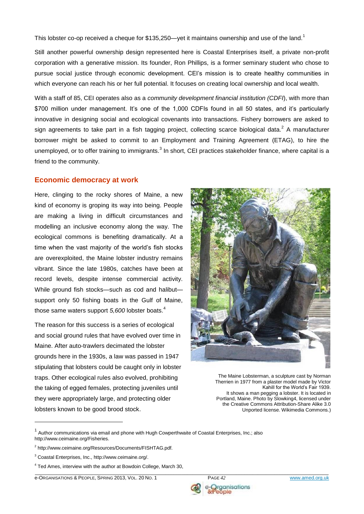This lobster co-op received a cheque for \$135,250—yet it maintains ownership and use of the land.<sup>1</sup>

Still another powerful ownership design represented here is Coastal Enterprises itself, a private non-profit corporation with a generative mission. Its founder, Ron Phillips, is a former seminary student who chose to pursue social justice through economic development. CEI's mission is to create healthy communities in which everyone can reach his or her full potential. It focuses on creating local ownership and local wealth.

With a staff of 85, CEI operates also as a *community development financial institution (CDFI*), with more than \$700 million under management. It's one of the 1,000 CDFIs found in all 50 states, and it's particularly innovative in designing social and ecological covenants into transactions. Fishery borrowers are asked to sign agreements to take part in a fish tagging project, collecting scarce biological data.<sup>2</sup> A manufacturer borrower might be asked to commit to an Employment and Training Agreement (ETAG), to hire the unemployed, or to offer training to immigrants.<sup>3</sup> In short, CEI practices stakeholder finance, where capital is a friend to the community.

#### **Economic democracy at work**

Here, clinging to the rocky shores of Maine, a new kind of economy is groping its way into being. People are making a living in difficult circumstances and modelling an inclusive economy along the way. The ecological commons is benefiting dramatically. At a time when the vast majority of the world's fish stocks are overexploited, the Maine lobster industry remains vibrant. Since the late 1980s, catches have been at record levels, despite intense commercial activity. While ground fish stocks—such as cod and halibut support only 50 fishing boats in the Gulf of Maine, those same waters support *5,600* lobster boats.<sup>4</sup>

The reason for this success is a series of ecological and social ground rules that have evolved over time in Maine. After auto-trawlers decimated the lobster grounds here in the 1930s, a law was passed in 1947 stipulating that lobsters could be caught only in lobster traps. Other ecological rules also evolved, prohibiting the taking of egged females, protecting juveniles until they were appropriately large, and protecting older lobsters known to be good brood stock.



The Maine Lobsterman, a sculpture cast by Norman Therrien in 1977 from a plaster model made by Victor Kahill for the World's Fair 1939. It shows a man pegging a lobster. It is located in Portland, Maine. Photo by Slowking4, licensed under the Creative Commons Attribution-Share Alike 3.0 Unported license. Wikimedia Commons.)

<u>.</u>

e-ORGANISATIONS & PEOPLE, SPRING 2013, VOL. 20 NO. 1 PAGE *42* www.amed.org.uk



ple

 $1$  Author communications via email and phone with Hugh Cowperthwaite of Coastal Enterprises, Inc.; also http://www.ceimaine.org/Fisheries.

<sup>&</sup>lt;sup>2</sup> http://www.ceimaine.org/Resources/Documents/FISHTAG.pdf.

<sup>3</sup> Coastal Enterprises, Inc., http://www.ceimaine.org/.

\_\_\_\_\_\_\_\_\_\_\_\_\_\_\_\_\_\_\_\_\_\_\_\_\_\_\_\_\_\_\_\_\_\_\_\_\_\_\_\_\_\_\_\_\_\_\_\_\_\_\_\_\_\_\_\_\_\_\_\_\_\_\_\_\_\_\_\_\_\_\_\_\_\_\_\_\_\_\_\_\_\_\_\_\_\_\_\_\_\_\_\_\_\_\_\_\_\_\_\_\_\_\_\_\_\_\_\_  $4$  Ted Ames, interview with the author at Bowdoin College, March 30,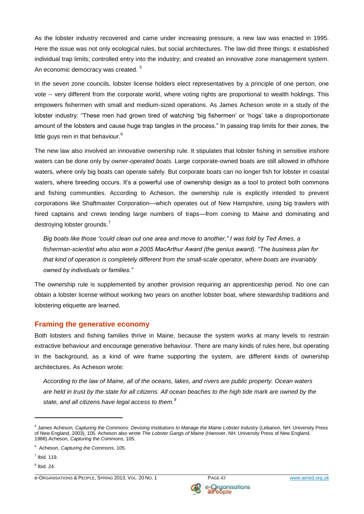As the lobster industry recovered and came under increasing pressure, a new law was enacted in 1995. Here the issue was not only ecological rules, but social architectures. The law did three things: it established individual trap limits; controlled entry into the industry; and created an innovative zone management system. An economic democracy was created.<sup>5</sup>

In the seven zone councils, lobster license holders elect representatives by a principle of one person, one vote -- very different from the corporate world, where voting rights are proportional to wealth holdings. This empowers fishermen with small and medium-sized operations. As James Acheson wrote in a study of the lobster industry: "These men had grown tired of watching 'big fishermen' or 'hogs' take a disproportionate amount of the lobsters and cause huge trap tangles in the process." In passing trap limits for their zones, the little guys rein in that behaviour.<sup>6</sup>

The new law also involved an innovative ownership rule. It stipulates that lobster fishing in sensitive inshore waters can be done only by *owner-operated boats.* Large corporate-owned boats are still allowed in offshore waters, where only big boats can operate safely. But corporate boats can no longer fish for lobster in coastal waters, where breeding occurs. It's a powerful use of ownership design as a tool to protect both commons and fishing communities. According to Acheson, the ownership rule is explicitly intended to prevent corporations like Shaftmaster Corporation—which operates out of New Hampshire, using big trawlers with hired captains and crews tending large numbers of traps—from coming to Maine and dominating and destroying lobster grounds.<sup>7</sup>

*Big boats like those "could clean out one area and move to another," I was told by Ted Ames, a fisherman-scientist who also won a 2005 MacArthur Award (the genius award). "The business plan for that kind of operation is completely different from the small-scale operator, where boats are invariably owned by individuals or families."* 

The ownership rule is supplemented by another provision requiring an apprenticeship period. No one can obtain a lobster license without working two years on another lobster boat, where stewardship traditions and lobstering etiquette are learned.

#### **Framing the generative economy**

Both lobsters and fishing families thrive in Maine, because the system works at many levels to restrain extractive behaviour and encourage generative behaviour. There are many kinds of rules here, but operating in the background, as a kind of wire frame supporting the system, are different kinds of ownership architectures. As Acheson wrote:

*According to the law of Maine, all of the oceans, lakes, and rivers are public property. Ocean waters are held in trust by the state for all citizens. All ocean beaches to the high tide mark are owned by the state, and all citizens have legal access to them.<sup>8</sup>*

<u>.</u>

e-ORGANISATIONS & PEOPLE, SPRING 2013, VOL. 20 NO. 1 PAGE 43 PAGE 43 WWW.amed.org.uk



<sup>&</sup>lt;sup>5</sup> James Acheson, *Capturing the Commons: Devising Institutions to Manage the Maine Lobster Industry (Lebanon, NH: University Press* of New England, 2003), 105. Acheson also wrote *The Lobster Gangs of Maine* (Hanover, NH: University Press of New England, 1988).Acheson, *Capturing the Commons,* 105.

<sup>6</sup> Acheson, *Capturing the Commons,* 105.

 $<sup>7</sup>$  Ibid. 119.</sup>

 $<sup>8</sup>$  Ibid. 24.</sup>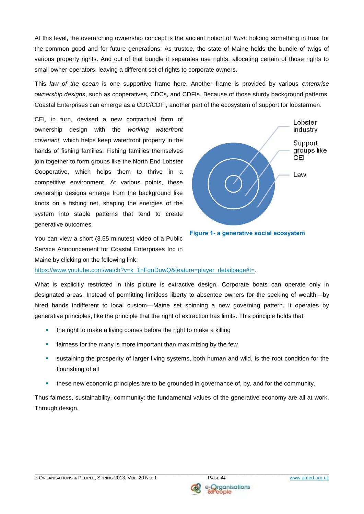At this level, the overarching ownership concept is the ancient notion of *trust*: holding something in trust for the common good and for future generations. As trustee, the state of Maine holds the bundle of twigs of various property rights. And out of that bundle it separates use rights, allocating certain of those rights to small owner-operators, leaving a different set of rights to corporate owners.

This *law of the ocean* is one supportive frame here. Another frame is provided by various *enterprise ownership designs*, such as cooperatives, CDCs, and CDFIs. Because of those sturdy background patterns, Coastal Enterprises can emerge as a CDC/CDFI, another part of the ecosystem of support for lobstermen.

CEI, in turn, devised a new contractual form of ownership design with the *working waterfront covenant,* which helps keep waterfront property in the hands of fishing families. Fishing families themselves join together to form groups like the North End Lobster Cooperative, which helps them to thrive in a competitive environment. At various points, these ownership designs emerge from the background like knots on a fishing net, shaping the energies of the system into stable patterns that tend to create generative outcomes.





You can view a short (3.55 minutes) video of a Public Service Announcement for Coastal Enterprises Inc in Maine by clicking on the following link:

[https://www.youtube.com/watch?v=k\\_1nFquDuwQ&feature=player\\_detailpage#t=.](https://www.youtube.com/watch?v=k_1nFquDuwQ&feature=player_detailpage#t=)

What is explicitly restricted in this picture is extractive design. Corporate boats can operate only in designated areas. Instead of permitting limitless liberty to absentee owners for the seeking of wealth—by hired hands indifferent to local custom—Maine set spinning a new governing pattern. It operates by generative principles, like the principle that the right of extraction has limits. This principle holds that:

- **the right to make a living comes before the right to make a killing**
- **Fairness for the many is more important than maximizing by the few**
- sustaining the prosperity of larger living systems, both human and wild, is the root condition for the flourishing of all
- these new economic principles are to be grounded in governance of, by, and for the community.

Thus fairness, sustainability, community: the fundamental values of the generative economy are all at work. Through design.

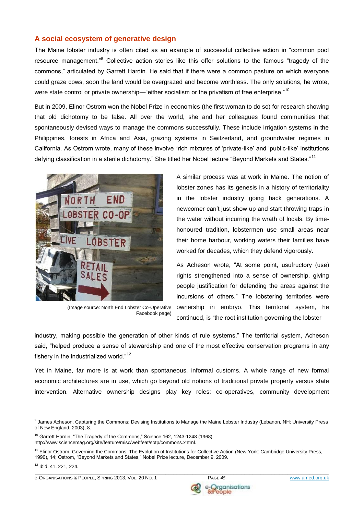#### **A social ecosystem of generative design**

The Maine lobster industry is often cited as an example of successful collective action in "common pool resource management."<sup>9</sup> Collective action stories like this offer solutions to the famous "tragedy of the commons," articulated by Garrett Hardin. He said that if there were a common pasture on which everyone could graze cows, soon the land would be overgrazed and become worthless. The only solutions, he wrote, were state control or private ownership—"either socialism or the privatism of free enterprise."<sup>10</sup>

But in 2009, Elinor Ostrom won the Nobel Prize in economics (the first woman to do so) for research showing that old dichotomy to be false. All over the world, she and her colleagues found communities that spontaneously devised ways to manage the commons successfully. These include irrigation systems in the Philippines, forests in Africa and Asia, grazing systems in Switzerland, and groundwater regimes in California. As Ostrom wrote, many of these involve "rich mixtures of 'private-like' and 'public-like' institutions defying classification in a sterile dichotomy." She titled her Nobel lecture "Beyond Markets and States."<sup>11</sup>



(Image source: North End Lobster Co-Operative Facebook page)

A similar process was at work in Maine. The notion of lobster zones has its genesis in a history of territoriality in the lobster industry going back generations. A newcomer can't just show up and start throwing traps in the water without incurring the wrath of locals. By timehonoured tradition, lobstermen use small areas near their home harbour, working waters their families have worked for decades, which they defend vigorously.

As Acheson wrote, "At some point, usufructory (use) rights strengthened into a sense of ownership, giving people justification for defending the areas against the incursions of others." The lobstering territories were ownership in embryo. This territorial system, he continued, is "the root institution governing the lobster

industry, making possible the generation of other kinds of rule systems." The territorial system, Acheson said, "helped produce a sense of stewardship and one of the most effective conservation programs in any fishery in the industrialized world."<sup>12</sup>

Yet in Maine, far more is at work than spontaneous, informal customs. A whole range of new formal economic architectures are in use, which go beyond old notions of traditional private property versus state intervention. Alternative ownership designs play key roles: co-operatives, community development

1

\_\_\_\_\_\_\_\_\_\_\_\_\_\_\_\_\_\_\_\_\_\_\_\_\_\_\_\_\_\_\_\_\_\_\_\_\_\_\_\_\_\_\_\_\_\_\_\_\_\_\_\_\_\_\_\_\_\_\_\_\_\_\_\_\_\_\_\_\_\_\_\_\_\_\_\_\_\_\_\_\_\_\_\_\_\_\_\_\_\_\_\_\_\_\_\_\_\_\_\_\_\_\_\_\_\_\_\_ e-ORGANISATIONS & PEOPLE, SPRING 2013, VOL. 20 NO. 1 PAGE 45 PAGE 45 WWW.amed.org.uk



<sup>9</sup> James Acheson, Capturing the Commons: Devising Institutions to Manage the Maine Lobster Industry (Lebanon, NH: University Press of New England, 2003), 8.

<sup>&</sup>lt;sup>10</sup> Garrett Hardin, "The Tragedy of the Commons," Science 162, 1243-1248 (1968) [http://www.sciencemag.org/site/feature/misc/webfeat/sotp/commons.xhtml.](http://www.sciencemag.org/site/feature/misc/webfeat/sotp/commons.xhtml)

<sup>&</sup>lt;sup>11</sup> Elinor Ostrom, Governing the Commons: The Evolution of Institutions for Collective Action (New York: Cambridge University Press, 1990), 14; Ostrom, "Beyond Markets and States," Nobel Prize lecture, December 9, 2009.

<sup>12</sup> Ibid. 41, 221, 224.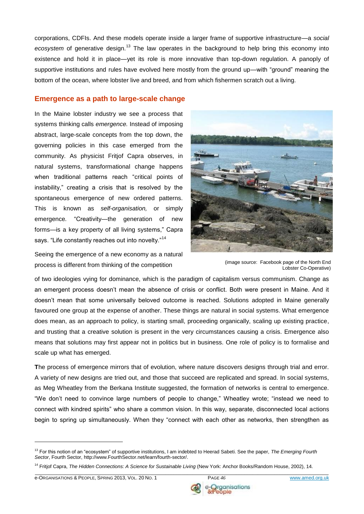corporations, CDFIs. And these models operate inside a larger frame of supportive infrastructure—a *social*  ecosystem of generative design.<sup>13</sup> The law operates in the background to help bring this economy into existence and hold it in place—yet its role is more innovative than top-down regulation. A panoply of supportive institutions and rules have evolved here mostly from the ground up—with "ground" meaning the bottom of the ocean, where lobster live and breed, and from which fishermen scratch out a living.

#### **Emergence as a path to large-scale change**

In the Maine lobster industry we see a process that systems thinking calls *emergence.* Instead of imposing abstract, large-scale concepts from the top down, the governing policies in this case emerged from the community. As physicist Fritjof Capra observes, in natural systems, transformational change happens when traditional patterns reach "critical points of instability," creating a crisis that is resolved by the spontaneous emergence of new ordered patterns. This is known as *self-organisation,* or simply emergence*.* "Creativity—the generation of new forms—is a key property of all living systems," Capra says. "Life constantly reaches out into novelty."<sup>14</sup>



Seeing the emergence of a new economy as a natural process is different from thinking of the competition (image source: Facebook page of the North End<br>
experiment the Connective

Lobster Co-Operative)

of two ideologies vying for dominance, which is the paradigm of capitalism versus communism. Change as an emergent process doesn't mean the absence of crisis or conflict. Both were present in Maine. And it doesn't mean that some universally beloved outcome is reached. Solutions adopted in Maine generally favoured one group at the expense of another. These things are natural in social systems. What emergence does mean, as an approach to policy, is starting small, proceeding organically, scaling up existing practice, and trusting that a creative solution is present in the very circumstances causing a crisis. Emergence also means that solutions may first appear not in politics but in business. One role of policy is to formalise and scale up what has emerged.

**T**he process of emergence mirrors that of evolution, where nature discovers designs through trial and error. A variety of new designs are tried out, and those that succeed are replicated and spread. In social systems, as Meg Wheatley from the Berkana Institute suggested, the formation of networks is central to emergence. "We don't need to convince large numbers of people to change," Wheatley wrote; "instead we need to connect with kindred spirits" who share a common vision. In this way, separate, disconnected local actions begin to spring up simultaneously. When they "connect with each other as networks, then strengthen as

1



<sup>13</sup> For this notion of an "ecosystem" of supportive institutions, I am indebted to Heerad Sabeti. See the paper, *The Emerging Fourth Sector*, Fourth Sector, [http://www.FourthSector.net/learn/fourth-sector/.](http://www.fourthsector.net/learn/fourth-sector/)

<sup>&</sup>lt;sup>14</sup> Fritiof Capra, *The Hidden Connections: A Science for Sustainable Living* (New York: Anchor Books/Random House, 2002), 14.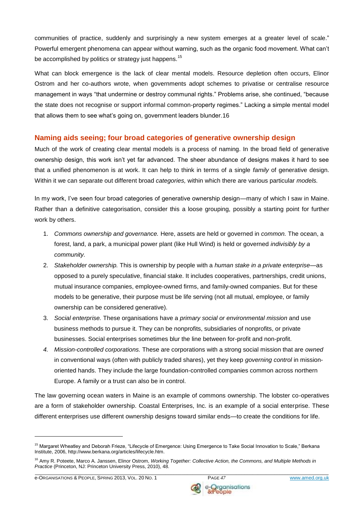communities of practice, suddenly and surprisingly a new system emerges at a greater level of scale." Powerful emergent phenomena can appear without warning, such as the organic food movement. What can't be accomplished by politics or strategy just happens.<sup>15</sup>

What can block emergence is the lack of clear mental models. Resource depletion often occurs, Elinor Ostrom and her co-authors wrote, when governments adopt schemes to privatise or centralise resource management in ways "that undermine or destroy communal rights." Problems arise, she continued, "because the state does not recognise or support informal common-property regimes." Lacking a simple mental model that allows them to see what's going on, government leaders blunder.16

## **Naming aids seeing; four broad categories of generative ownership design**

Much of the work of creating clear mental models is a process of naming. In the broad field of generative ownership design, this work isn't yet far advanced. The sheer abundance of designs makes it hard to see that a unified phenomenon is at work. It can help to think in terms of a single *family* of generative design. Within it we can separate out different broad *categories,* within which there are various particular *models.* 

In my work, I've seen four broad categories of generative ownership design—many of which I saw in Maine. Rather than a definitive categorisation, consider this a loose grouping, possibly a starting point for further work by others.

- 1. *Commons ownership and governance.* Here, assets are held or governed in *common.* The ocean, a forest, land, a park, a municipal power plant (like Hull Wind) is held or governed *indivisibly by a community.*
- 2. *Stakeholder ownership.* This is ownership by people with a *human stake in a private enterprise*—as opposed to a purely speculative, financial stake. It includes cooperatives, partnerships, credit unions, mutual insurance companies, employee-owned firms, and family-owned companies. But for these models to be generative, their purpose must be life serving (not all mutual, employee, or family ownership can be considered generative).
- 3. *Social enterprise.* These organisations have a *primary social or environmental mission* and use business methods to pursue it. They can be nonprofits, subsidiaries of nonprofits, or private businesses. Social enterprises sometimes blur the line between for-profit and non-profit.
- *4. Mission-controlled corporations.* These are corporations with a strong social mission that are *owned*  in conventional ways (often with publicly traded shares), yet they keep *governing control* in missionoriented hands. They include the large foundation-controlled companies common across northern Europe. A family or a trust can also be in control.

The law governing ocean waters in Maine is an example of commons ownership. The lobster co-operatives are a form of stakeholder ownership. Coastal Enterprises, Inc. is an example of a social enterprise. These different enterprises use different ownership designs toward similar ends—to create the conditions for life.

<u>.</u>

<sup>&</sup>lt;sup>15</sup> Margaret Wheatley and Deborah Frieze, "Lifecycle of Emergence: Using Emergence to Take Social Innovation to Scale," Berkana Institute, 2006, http://www.berkana.org/articles/lifecycle.htm.

\_\_\_\_\_\_\_\_\_\_\_\_\_\_\_\_\_\_\_\_\_\_\_\_\_\_\_\_\_\_\_\_\_\_\_\_\_\_\_\_\_\_\_\_\_\_\_\_\_\_\_\_\_\_\_\_\_\_\_\_\_\_\_\_\_\_\_\_\_\_\_\_\_\_\_\_\_\_\_\_\_\_\_\_\_\_\_\_\_\_\_\_\_\_\_\_\_\_\_\_\_\_\_\_\_\_\_\_ <sup>16</sup> Amy R. Poteete, Marco A. Janssen, Elinor Ostrom, *Working Together: Collective Action, the Commons, and Multiple Methods in Practice* (Princeton, NJ: Princeton University Press, 2010), 48.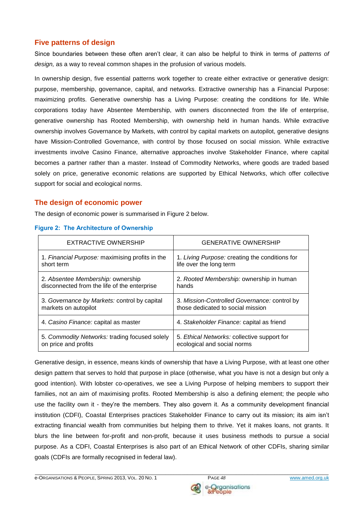#### **Five patterns of design**

Since boundaries between these often aren't clear, it can also be helpful to think in terms of *patterns of design,* as a way to reveal common shapes in the profusion of various models.

In ownership design, five essential patterns work together to create either extractive or generative design: purpose, membership, governance, capital, and networks. Extractive ownership has a Financial Purpose: maximizing profits. Generative ownership has a Living Purpose: creating the conditions for life. While corporations today have Absentee Membership, with owners disconnected from the life of enterprise, generative ownership has Rooted Membership, with ownership held in human hands. While extractive ownership involves Governance by Markets, with control by capital markets on autopilot, generative designs have Mission-Controlled Governance, with control by those focused on social mission. While extractive investments involve Casino Finance, alternative approaches involve Stakeholder Finance, where capital becomes a partner rather than a master. Instead of Commodity Networks, where goods are traded based solely on price, generative economic relations are supported by Ethical Networks, which offer collective support for social and ecological norms.

#### **The design of economic power**

The design of economic power is summarised in Figure 2 below.

| EXTRACTIVE OWNERSHIP                            | <b>GENERATIVE OWNERSHIP</b>                    |
|-------------------------------------------------|------------------------------------------------|
| 1. Financial Purpose: maximising profits in the | 1. Living Purpose: creating the conditions for |
| short term                                      | life over the long term                        |
| 2. Absentee Membership: ownership               | 2. Rooted Membership: ownership in human       |
| disconnected from the life of the enterprise    | hands                                          |
| 3. Governance by Markets: control by capital    | 3. Mission-Controlled Governance: control by   |
| markets on autopilot                            | those dedicated to social mission              |
| 4. Casino Finance: capital as master            | 4. Stakeholder Finance: capital as friend      |
| 5. Commodity Networks: trading focused solely   | 5. Ethical Networks: collective support for    |
| on price and profits                            | ecological and social norms                    |

#### **Figure 2: The Architecture of Ownership**

Generative design, in essence, means kinds of ownership that have a Living Purpose*,* with at least one other design pattern that serves to hold that purpose in place (otherwise, what you have is not a design but only a good intention). With lobster co-operatives, we see a Living Purpose of helping members to support their families, not an aim of maximising profits. Rooted Membership is also a defining element; the people who use the facility own it - they're the members. They also govern it. As a community development financial institution (CDFI), Coastal Enterprises practices Stakeholder Financ*e* to carry out its mission; its aim isn't extracting financial wealth from communities but helping them to thrive. Yet it makes loans, not grants. It blurs the line between for-profit and non-profit, because it uses business methods to pursue a social purpose. As a CDFI, Coastal Enterprises is also part of an Ethical Network of other CDFIs, sharing similar goals (CDFIs are formally recognised in federal law).

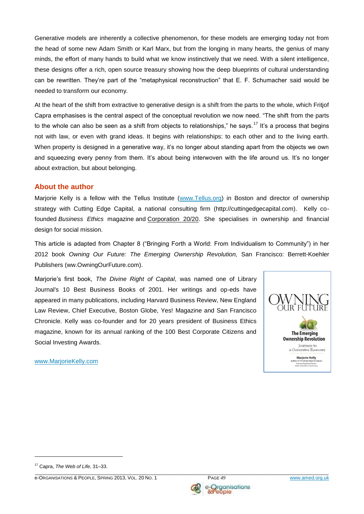Generative models are inherently a collective phenomenon, for these models are emerging today not from the head of some new Adam Smith or Karl Marx, but from the longing in many hearts, the genius of many minds, the effort of many hands to build what we know instinctively that we need. With a silent intelligence, these designs offer a rich, open source treasury showing how the deep blueprints of cultural understanding can be rewritten. They're part of the "metaphysical reconstruction" that E. F. Schumacher said would be needed to transform our economy.

At the heart of the shift from extractive to generative design is a shift from the parts to the whole, which Fritjof Capra emphasises is the central aspect of the conceptual revolution we now need. "The shift from the parts to the whole can also be seen as a shift from objects to relationships," he says.<sup>17</sup> It's a process that begins not with law, or even with grand ideas. It begins with relationships: to each other and to the living earth. When property is designed in a generative way, it's no longer about standing apart from the objects we own and squeezing every penny from them. It's about being interwoven with the life around us. It's no longer about extraction, but about belonging.

#### **About the author**

Marjorie Kelly is a fellow with the Tellus Institute [\(www.Tellus.org\)](http://www.tellus.org/) in Boston and director of ownership strategy with Cutting Edge Capital, a national consulting firm (http://cuttingedgecapital.com). Kelly cofounded *Business Ethics* magazine and [Corporation 20/20.](http://www.corporation2020.org/) She specialises in ownership and financial design for social mission.

This article is adapted from Chapter 8 ("Bringing Forth a World: From Individualism to Community") in her 2012 book *Owning Our Future: The Emerging Ownership Revolution,* San Francisco: Berrett-Koehler Publishers (ww.OwningOurFuture.com).

Marjorie's first book, *The Divine Right of Capital*, was named one of Library Journal's 10 Best Business Books of 2001. Her writings and op-eds have appeared in many publications, including Harvard Business Review, New England Law Review, Chief Executive, Boston Globe, Yes! Magazine and San Francisco Chronicle. Kelly was co-founder and for 20 years president of Business Ethics magazine, known for its annual ranking of the 100 Best Corporate Citizens and Social Investing Awards.



[www.MarjorieKelly.com](http://www.marjoriekelly.com/)

1



<sup>17</sup> Capra, *The Web of Life,* 31–33.